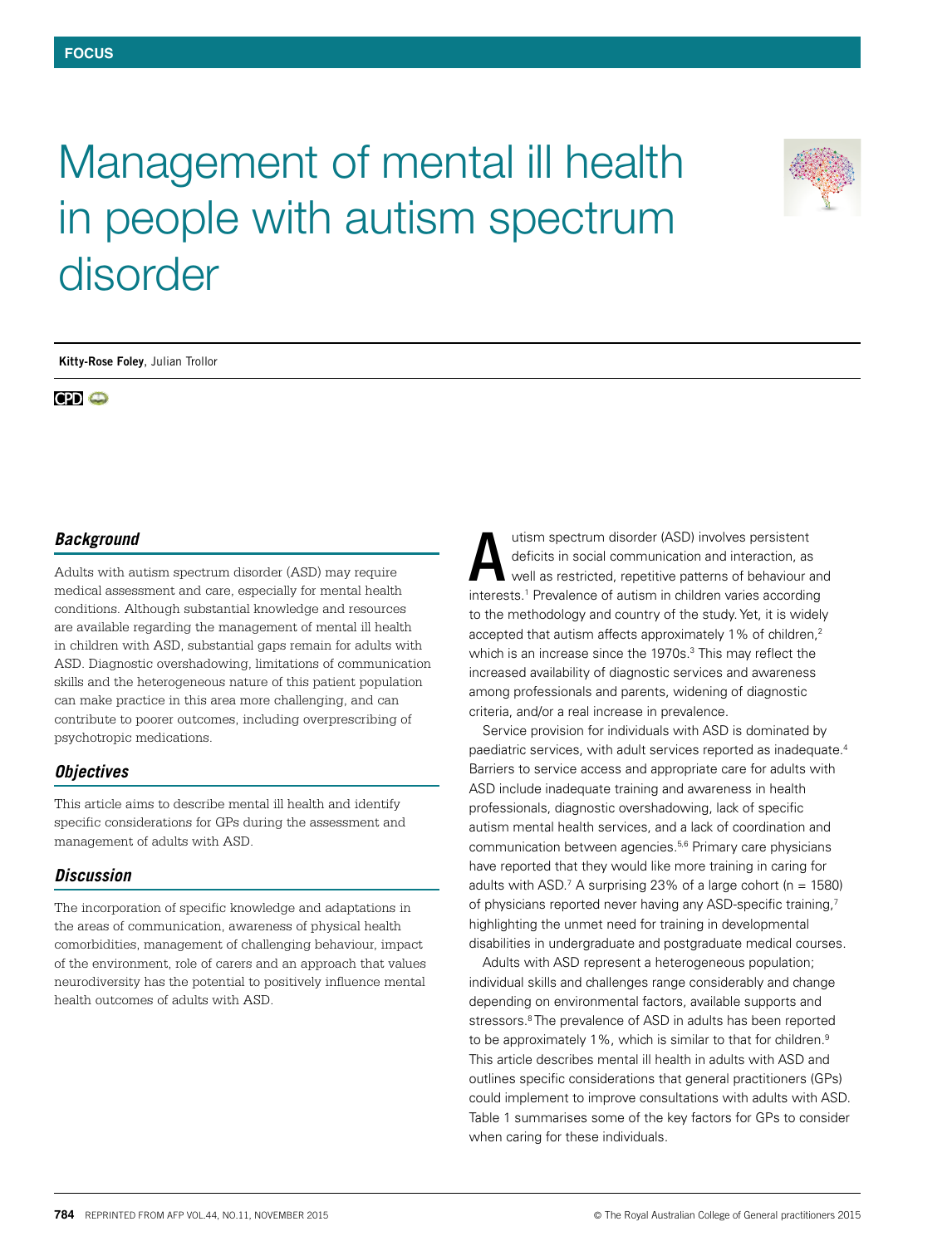# Management of mental ill health in people with autism spectrum disorder



**Kitty-Rose Foley**, Julian Trollor

**CPI O** 

#### *Background*

Adults with autism spectrum disorder (ASD) may require medical assessment and care, especially for mental health conditions. Although substantial knowledge and resources are available regarding the management of mental ill health in children with ASD, substantial gaps remain for adults with ASD. Diagnostic overshadowing, limitations of communication skills and the heterogeneous nature of this patient population can make practice in this area more challenging, and can contribute to poorer outcomes, including overprescribing of psychotropic medications.

### *Objectives*

This article aims to describe mental ill health and identify specific considerations for GPs during the assessment and management of adults with ASD.

#### *Discussion*

The incorporation of specific knowledge and adaptations in the areas of communication, awareness of physical health comorbidities, management of challenging behaviour, impact of the environment, role of carers and an approach that values neurodiversity has the potential to positively influence mental health outcomes of adults with ASD.

utism spectrum disorder (ASD) involves persistent deficits in social communication and interaction, as well as restricted, repetitive patterns of behaviour and interests.1 Prevalence of autism in children varies according to the methodology and country of the study. Yet, it is widely accepted that autism affects approximately 1% of children,<sup>2</sup> which is an increase since the 1970s.<sup>3</sup> This may reflect the increased availability of diagnostic services and awareness among professionals and parents, widening of diagnostic criteria, and/or a real increase in prevalence. A

Service provision for individuals with ASD is dominated by paediatric services, with adult services reported as inadequate.4 Barriers to service access and appropriate care for adults with ASD include inadequate training and awareness in health professionals, diagnostic overshadowing, lack of specific autism mental health services, and a lack of coordination and communication between agencies.5,6 Primary care physicians have reported that they would like more training in caring for adults with ASD.<sup>7</sup> A surprising 23% of a large cohort ( $n = 1580$ ) of physicians reported never having any ASD-specific training,<sup>7</sup> highlighting the unmet need for training in developmental disabilities in undergraduate and postgraduate medical courses.

Adults with ASD represent a heterogeneous population; individual skills and challenges range considerably and change depending on environmental factors, available supports and stressors.<sup>8</sup> The prevalence of ASD in adults has been reported to be approximately 1%, which is similar to that for children.<sup>9</sup> This article describes mental ill health in adults with ASD and outlines specific considerations that general practitioners (GPs) could implement to improve consultations with adults with ASD. Table 1 summarises some of the key factors for GPs to consider when caring for these individuals.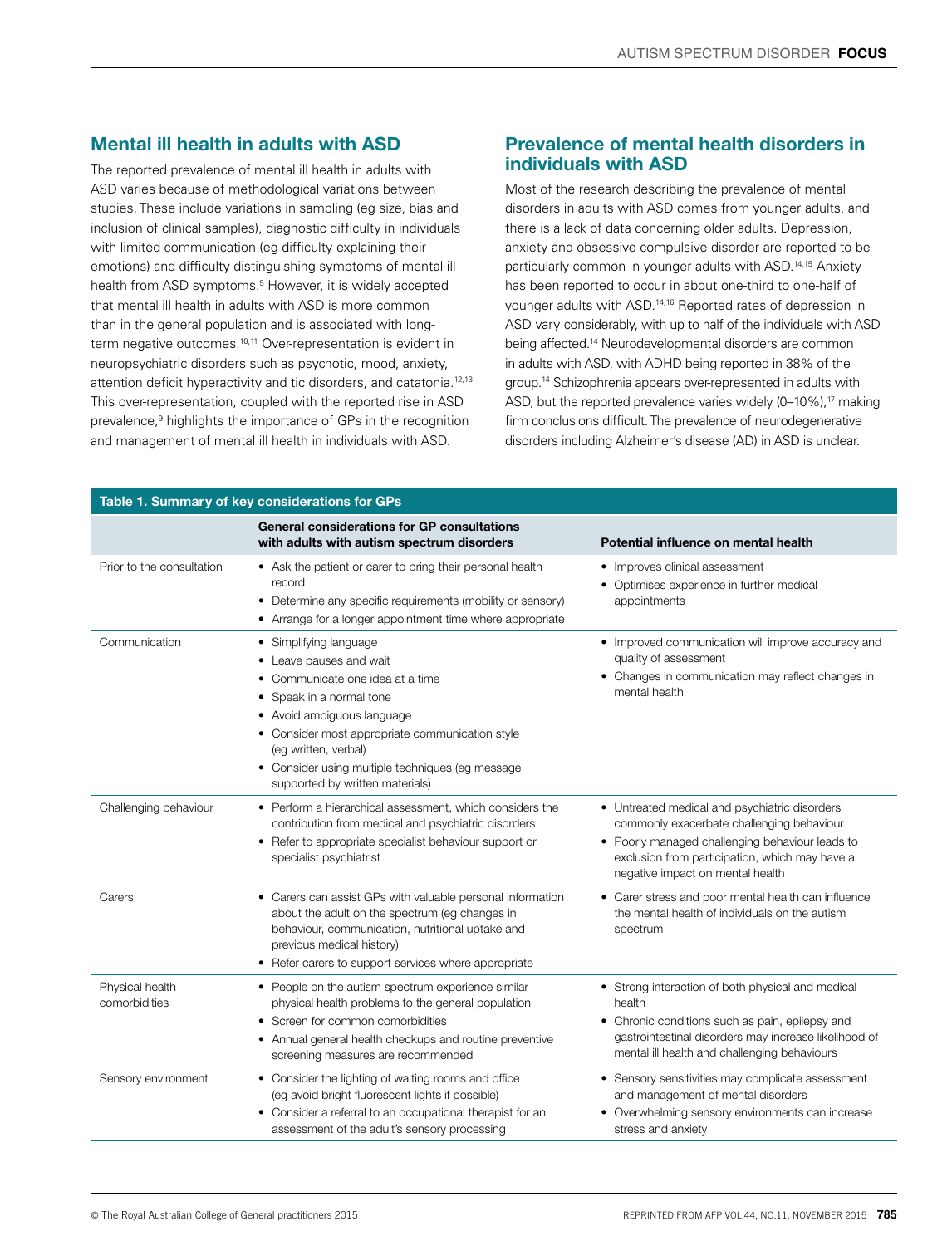# Mental ill health in adults with ASD

The reported prevalence of mental ill health in adults with ASD varies because of methodological variations between studies. These include variations in sampling (eg size, bias and inclusion of clinical samples), diagnostic difficulty in individuals with limited communication (eg difficulty explaining their emotions) and difficulty distinguishing symptoms of mental ill health from ASD symptoms.5 However, it is widely accepted that mental ill health in adults with ASD is more common than in the general population and is associated with longterm negative outcomes.10,11 Over-representation is evident in neuropsychiatric disorders such as psychotic, mood, anxiety, attention deficit hyperactivity and tic disorders, and catatonia.12,13 This over-representation, coupled with the reported rise in ASD prevalence,<sup>9</sup> highlights the importance of GPs in the recognition and management of mental ill health in individuals with ASD.

# Prevalence of mental health disorders in individuals with ASD

Most of the research describing the prevalence of mental disorders in adults with ASD comes from younger adults, and there is a lack of data concerning older adults. Depression, anxiety and obsessive compulsive disorder are reported to be particularly common in younger adults with ASD.14,15 Anxiety has been reported to occur in about one-third to one-half of younger adults with ASD.14,16 Reported rates of depression in ASD vary considerably, with up to half of the individuals with ASD being affected.<sup>14</sup> Neurodevelopmental disorders are common in adults with ASD, with ADHD being reported in 38% of the group.14 Schizophrenia appears over-represented in adults with ASD, but the reported prevalence varies widely  $(0-10\%)$ ,<sup>17</sup> making firm conclusions difficult. The prevalence of neurodegenerative disorders including Alzheimer's disease (AD) in ASD is unclear.

| Table 1. Summary of key considerations for GPs |                                                                                                                                                                                                                                                                                                                       |                                                                                                                                                                                                                                     |  |  |
|------------------------------------------------|-----------------------------------------------------------------------------------------------------------------------------------------------------------------------------------------------------------------------------------------------------------------------------------------------------------------------|-------------------------------------------------------------------------------------------------------------------------------------------------------------------------------------------------------------------------------------|--|--|
|                                                | <b>General considerations for GP consultations</b><br>with adults with autism spectrum disorders                                                                                                                                                                                                                      | Potential influence on mental health                                                                                                                                                                                                |  |  |
| Prior to the consultation                      | • Ask the patient or carer to bring their personal health<br>record<br>• Determine any specific requirements (mobility or sensory)<br>Arrange for a longer appointment time where appropriate                                                                                                                         | • Improves clinical assessment<br>Optimises experience in further medical<br>appointments                                                                                                                                           |  |  |
| Communication                                  | • Simplifying language<br>Leave pauses and wait<br>٠<br>Communicate one idea at a time<br>٠<br>Speak in a normal tone<br>• Avoid ambiguous language<br>• Consider most appropriate communication style<br>(eg written, verbal)<br>• Consider using multiple techniques (eg message<br>supported by written materials) | • Improved communication will improve accuracy and<br>quality of assessment<br>• Changes in communication may reflect changes in<br>mental health                                                                                   |  |  |
| Challenging behaviour                          | • Perform a hierarchical assessment, which considers the<br>contribution from medical and psychiatric disorders<br>• Refer to appropriate specialist behaviour support or<br>specialist psychiatrist                                                                                                                  | • Untreated medical and psychiatric disorders<br>commonly exacerbate challenging behaviour<br>• Poorly managed challenging behaviour leads to<br>exclusion from participation, which may have a<br>negative impact on mental health |  |  |
| Carers                                         | • Carers can assist GPs with valuable personal information<br>about the adult on the spectrum (eq changes in<br>behaviour, communication, nutritional uptake and<br>previous medical history)<br>• Refer carers to support services where appropriate                                                                 | • Carer stress and poor mental health can influence<br>the mental health of individuals on the autism<br>spectrum                                                                                                                   |  |  |
| Physical health<br>comorbidities               | • People on the autism spectrum experience similar<br>physical health problems to the general population<br>Screen for common comorbidities<br>Annual general health checkups and routine preventive<br>screening measures are recommended                                                                            | • Strong interaction of both physical and medical<br>health<br>• Chronic conditions such as pain, epilepsy and<br>gastrointestinal disorders may increase likelihood of<br>mental ill health and challenging behaviours             |  |  |
| Sensory environment                            | • Consider the lighting of waiting rooms and office<br>(eg avoid bright fluorescent lights if possible)<br>• Consider a referral to an occupational therapist for an<br>assessment of the adult's sensory processing                                                                                                  | • Sensory sensitivities may complicate assessment<br>and management of mental disorders<br>• Overwhelming sensory environments can increase<br>stress and anxiety                                                                   |  |  |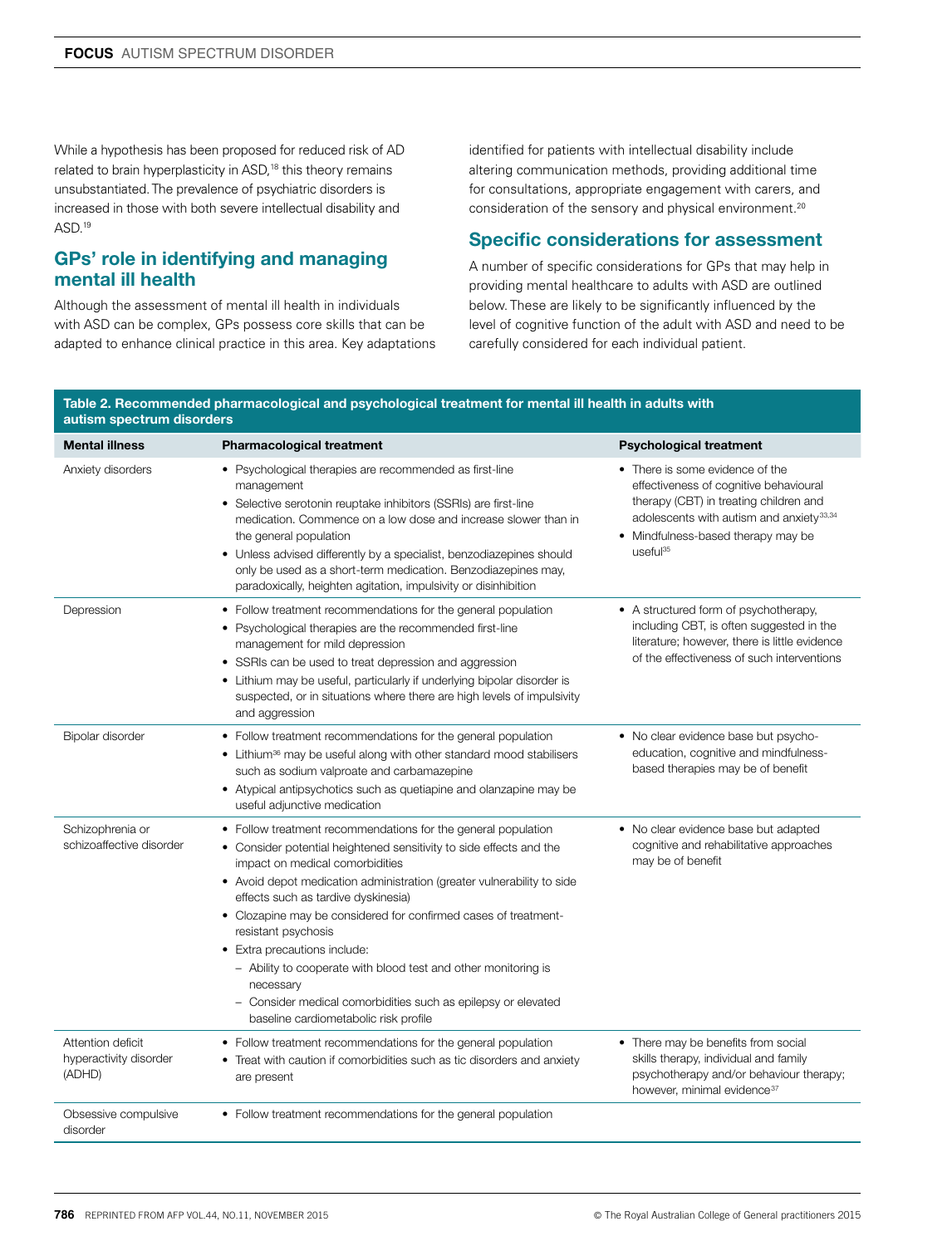While a hypothesis has been proposed for reduced risk of AD related to brain hyperplasticity in ASD,<sup>18</sup> this theory remains unsubstantiated. The prevalence of psychiatric disorders is increased in those with both severe intellectual disability and ASD.<sup>19</sup>

# GPs' role in identifying and managing mental ill health

Although the assessment of mental ill health in individuals with ASD can be complex, GPs possess core skills that can be adapted to enhance clinical practice in this area. Key adaptations identified for patients with intellectual disability include altering communication methods, providing additional time for consultations, appropriate engagement with carers, and consideration of the sensory and physical environment.<sup>20</sup>

# Specific considerations for assessment

A number of specific considerations for GPs that may help in providing mental healthcare to adults with ASD are outlined below. These are likely to be significantly influenced by the level of cognitive function of the adult with ASD and need to be carefully considered for each individual patient.

#### Table 2. Recommended pharmacological and psychological treatment for mental ill health in adults with autism spectrum disorders

| <b>Mental illness</b>                                 | <b>Pharmacological treatment</b>                                                                                                                                                                                                                                                                                                                                                                                                                                                                                                                                                                            | <b>Psychological treatment</b>                                                                                                                                                                                                            |
|-------------------------------------------------------|-------------------------------------------------------------------------------------------------------------------------------------------------------------------------------------------------------------------------------------------------------------------------------------------------------------------------------------------------------------------------------------------------------------------------------------------------------------------------------------------------------------------------------------------------------------------------------------------------------------|-------------------------------------------------------------------------------------------------------------------------------------------------------------------------------------------------------------------------------------------|
| Anxiety disorders                                     | • Psychological therapies are recommended as first-line<br>management<br>• Selective serotonin reuptake inhibitors (SSRIs) are first-line<br>medication. Commence on a low dose and increase slower than in<br>the general population<br>• Unless advised differently by a specialist, benzodiazepines should<br>only be used as a short-term medication. Benzodiazepines may,<br>paradoxically, heighten agitation, impulsivity or disinhibition                                                                                                                                                           | • There is some evidence of the<br>effectiveness of cognitive behavioural<br>therapy (CBT) in treating children and<br>adolescents with autism and anxiety <sup>33,34</sup><br>• Mindfulness-based therapy may be<br>useful <sup>35</sup> |
| Depression                                            | • Follow treatment recommendations for the general population<br>• Psychological therapies are the recommended first-line<br>management for mild depression<br>• SSRIs can be used to treat depression and aggression<br>• Lithium may be useful, particularly if underlying bipolar disorder is<br>suspected, or in situations where there are high levels of impulsivity<br>and aggression                                                                                                                                                                                                                | • A structured form of psychotherapy,<br>including CBT, is often suggested in the<br>literature; however, there is little evidence<br>of the effectiveness of such interventions                                                          |
| Bipolar disorder                                      | • Follow treatment recommendations for the general population<br>• Lithium <sup>36</sup> may be useful along with other standard mood stabilisers<br>such as sodium valproate and carbamazepine<br>• Atypical antipsychotics such as quetiapine and olanzapine may be<br>useful adjunctive medication                                                                                                                                                                                                                                                                                                       | • No clear evidence base but psycho-<br>education, cognitive and mindfulness-<br>based therapies may be of benefit                                                                                                                        |
| Schizophrenia or<br>schizoaffective disorder          | • Follow treatment recommendations for the general population<br>• Consider potential heightened sensitivity to side effects and the<br>impact on medical comorbidities<br>• Avoid depot medication administration (greater vulnerability to side<br>effects such as tardive dyskinesia)<br>• Clozapine may be considered for confirmed cases of treatment-<br>resistant psychosis<br>• Extra precautions include:<br>- Ability to cooperate with blood test and other monitoring is<br>necessary<br>- Consider medical comorbidities such as epilepsy or elevated<br>baseline cardiometabolic risk profile | • No clear evidence base but adapted<br>cognitive and rehabilitative approaches<br>may be of benefit                                                                                                                                      |
| Attention deficit<br>hyperactivity disorder<br>(ADHD) | • Follow treatment recommendations for the general population<br>Treat with caution if comorbidities such as tic disorders and anxiety<br>are present                                                                                                                                                                                                                                                                                                                                                                                                                                                       | • There may be benefits from social<br>skills therapy, individual and family<br>psychotherapy and/or behaviour therapy;<br>however, minimal evidence <sup>37</sup>                                                                        |
| Obsessive compulsive<br>disorder                      | • Follow treatment recommendations for the general population                                                                                                                                                                                                                                                                                                                                                                                                                                                                                                                                               |                                                                                                                                                                                                                                           |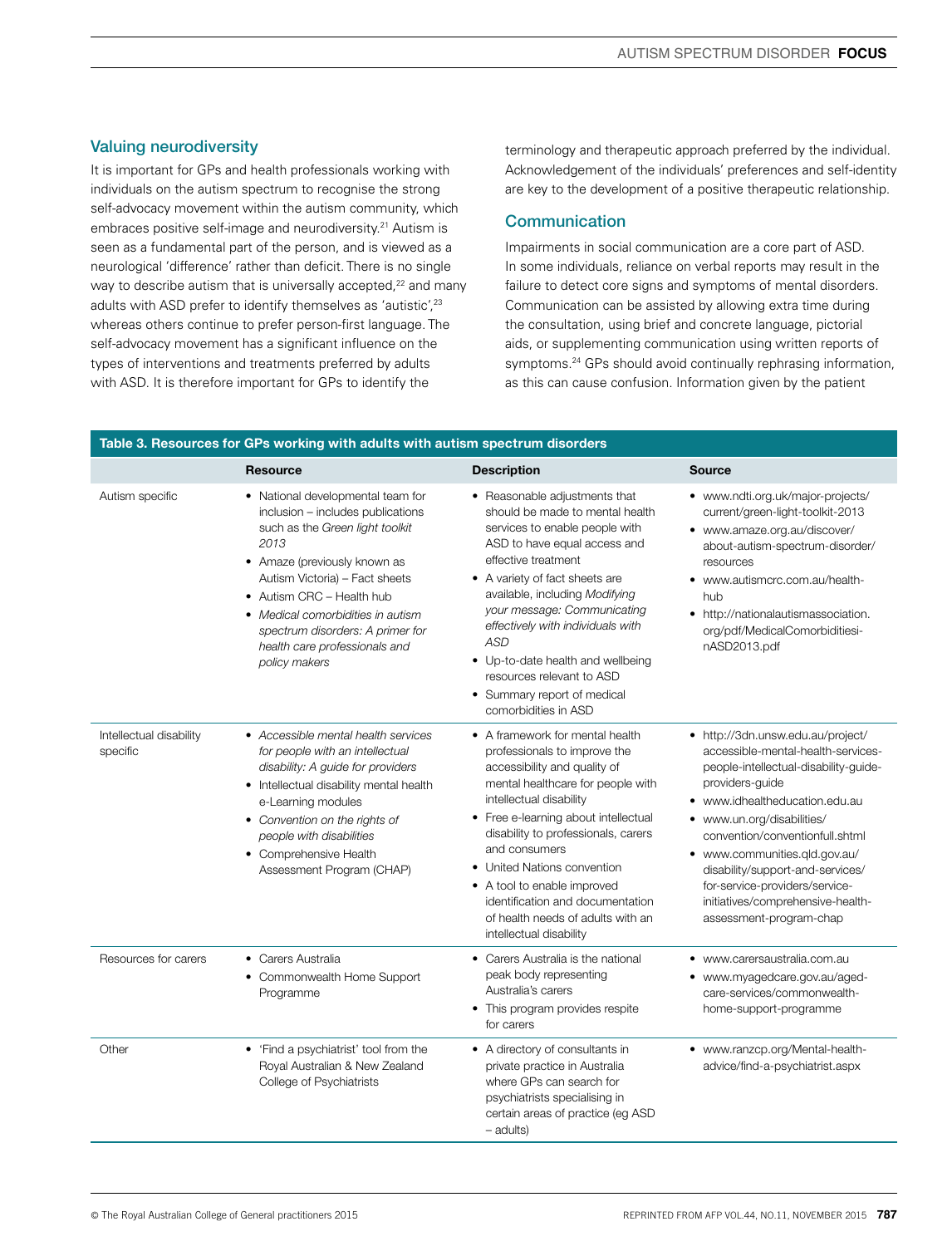## Valuing neurodiversity

It is important for GPs and health professionals working with individuals on the autism spectrum to recognise the strong self-advocacy movement within the autism community, which embraces positive self-image and neurodiversity.<sup>21</sup> Autism is seen as a fundamental part of the person, and is viewed as a neurological 'difference' rather than deficit. There is no single way to describe autism that is universally accepted,<sup>22</sup> and many adults with ASD prefer to identify themselves as 'autistic',<sup>23</sup> whereas others continue to prefer person-first language. The self-advocacy movement has a significant influence on the types of interventions and treatments preferred by adults with ASD. It is therefore important for GPs to identify the

terminology and therapeutic approach preferred by the individual. Acknowledgement of the individuals' preferences and self-identity are key to the development of a positive therapeutic relationship.

## **Communication**

Impairments in social communication are a core part of ASD. In some individuals, reliance on verbal reports may result in the failure to detect core signs and symptoms of mental disorders. Communication can be assisted by allowing extra time during the consultation, using brief and concrete language, pictorial aids, or supplementing communication using written reports of symptoms.24 GPs should avoid continually rephrasing information, as this can cause confusion. Information given by the patient

|                                     | <b>Resource</b>                                                                                                                                                                                                                                                                                                                             | <b>Description</b>                                                                                                                                                                                                                                                                                                                                                                                                                | <b>Source</b>                                                                                                                                                                                                                                                                                                                                                                                               |
|-------------------------------------|---------------------------------------------------------------------------------------------------------------------------------------------------------------------------------------------------------------------------------------------------------------------------------------------------------------------------------------------|-----------------------------------------------------------------------------------------------------------------------------------------------------------------------------------------------------------------------------------------------------------------------------------------------------------------------------------------------------------------------------------------------------------------------------------|-------------------------------------------------------------------------------------------------------------------------------------------------------------------------------------------------------------------------------------------------------------------------------------------------------------------------------------------------------------------------------------------------------------|
| Autism specific                     | • National developmental team for<br>inclusion - includes publications<br>such as the Green light toolkit<br>2013<br>• Amaze (previously known as<br>Autism Victoria) - Fact sheets<br>• Autism CRC - Health hub<br>• Medical comorbidities in autism<br>spectrum disorders: A primer for<br>health care professionals and<br>policy makers | • Reasonable adjustments that<br>should be made to mental health<br>services to enable people with<br>ASD to have equal access and<br>effective treatment<br>• A variety of fact sheets are<br>available, including Modifying<br>your message: Communicating<br>effectively with individuals with<br>ASD<br>• Up-to-date health and wellbeing<br>resources relevant to ASD<br>• Summary report of medical<br>comorbidities in ASD | • www.ndti.org.uk/major-projects/<br>current/green-light-toolkit-2013<br>• www.amaze.org.au/discover/<br>about-autism-spectrum-disorder/<br>resources<br>• www.autismcrc.com.au/health-<br>hub<br>• http://nationalautismassociation.<br>org/pdf/MedicalComorbiditiesi-<br>nASD2013.pdf                                                                                                                     |
| Intellectual disability<br>specific | • Accessible mental health services<br>for people with an intellectual<br>disability: A guide for providers<br>• Intellectual disability mental health<br>e-Learning modules<br>• Convention on the rights of<br>people with disabilities<br>• Comprehensive Health<br>Assessment Program (CHAP)                                            | • A framework for mental health<br>professionals to improve the<br>accessibility and quality of<br>mental healthcare for people with<br>intellectual disability<br>• Free e-learning about intellectual<br>disability to professionals, carers<br>and consumers<br>• United Nations convention<br>• A tool to enable improved<br>identification and documentation<br>of health needs of adults with an<br>intellectual disability | • http://3dn.unsw.edu.au/project/<br>accessible-mental-health-services-<br>people-intellectual-disability-guide-<br>providers-guide<br>• www.idhealtheducation.edu.au<br>www.un.org/disabilities/<br>convention/conventionfull.shtml<br>• www.communities.gld.gov.au/<br>disability/support-and-services/<br>for-service-providers/service-<br>initiatives/comprehensive-health-<br>assessment-program-chap |
| Resources for carers                | • Carers Australia<br>• Commonwealth Home Support<br>Programme                                                                                                                                                                                                                                                                              | • Carers Australia is the national<br>peak body representing<br>Australia's carers<br>This program provides respite<br>٠<br>for carers                                                                                                                                                                                                                                                                                            | www.carersaustralia.com.au<br>www.myagedcare.gov.au/aged-<br>$\bullet$<br>care-services/commonwealth-<br>home-support-programme                                                                                                                                                                                                                                                                             |
| Other                               | • 'Find a psychiatrist' tool from the<br>Royal Australian & New Zealand<br>College of Psychiatrists                                                                                                                                                                                                                                         | • A directory of consultants in<br>private practice in Australia<br>where GPs can search for<br>psychiatrists specialising in<br>certain areas of practice (eg ASD<br>$-$ adults)                                                                                                                                                                                                                                                 | • www.ranzcp.org/Mental-health-<br>advice/find-a-psychiatrist.aspx                                                                                                                                                                                                                                                                                                                                          |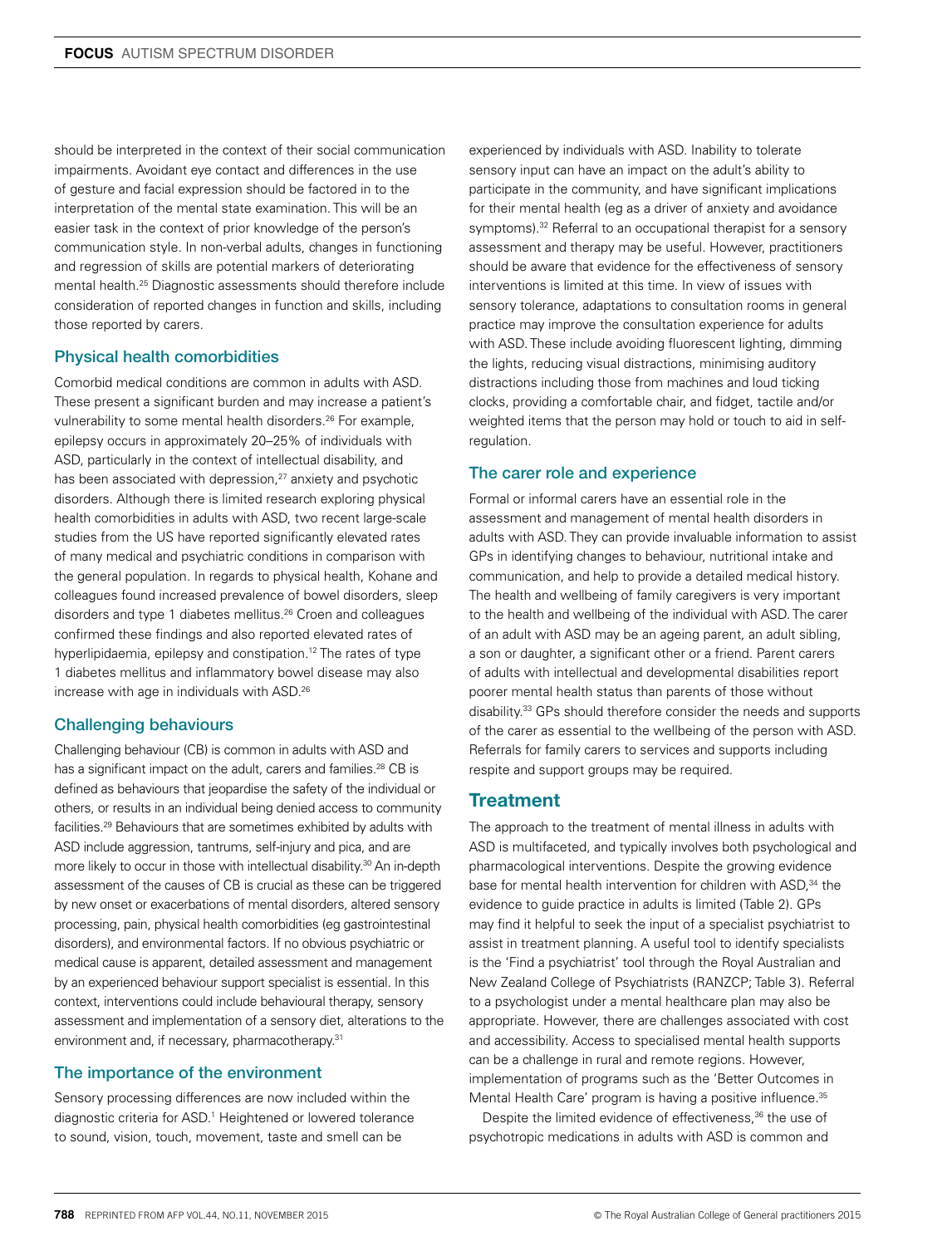should be interpreted in the context of their social communication impairments. Avoidant eye contact and differences in the use of gesture and facial expression should be factored in to the interpretation of the mental state examination. This will be an easier task in the context of prior knowledge of the person's communication style. In non-verbal adults, changes in functioning and regression of skills are potential markers of deteriorating mental health.25 Diagnostic assessments should therefore include consideration of reported changes in function and skills, including those reported by carers.

#### Physical health comorbidities

Comorbid medical conditions are common in adults with ASD. These present a significant burden and may increase a patient's vulnerability to some mental health disorders.<sup>26</sup> For example, epilepsy occurs in approximately 20–25% of individuals with ASD, particularly in the context of intellectual disability, and has been associated with depression,<sup>27</sup> anxiety and psychotic disorders. Although there is limited research exploring physical health comorbidities in adults with ASD, two recent large-scale studies from the US have reported significantly elevated rates of many medical and psychiatric conditions in comparison with the general population. In regards to physical health, Kohane and colleagues found increased prevalence of bowel disorders, sleep disorders and type 1 diabetes mellitus.<sup>26</sup> Croen and colleagues confirmed these findings and also reported elevated rates of hyperlipidaemia, epilepsy and constipation.12 The rates of type 1 diabetes mellitus and inflammatory bowel disease may also increase with age in individuals with ASD.26

#### Challenging behaviours

Challenging behaviour (CB) is common in adults with ASD and has a significant impact on the adult, carers and families.<sup>28</sup> CB is defined as behaviours that jeopardise the safety of the individual or others, or results in an individual being denied access to community facilities.29 Behaviours that are sometimes exhibited by adults with ASD include aggression, tantrums, self-injury and pica, and are more likely to occur in those with intellectual disability.<sup>30</sup> An in-depth assessment of the causes of CB is crucial as these can be triggered by new onset or exacerbations of mental disorders, altered sensory processing, pain, physical health comorbidities (eg gastrointestinal disorders), and environmental factors. If no obvious psychiatric or medical cause is apparent, detailed assessment and management by an experienced behaviour support specialist is essential. In this context, interventions could include behavioural therapy, sensory assessment and implementation of a sensory diet, alterations to the environment and, if necessary, pharmacotherapy.<sup>31</sup>

#### The importance of the environment

Sensory processing differences are now included within the diagnostic criteria for ASD.<sup>1</sup> Heightened or lowered tolerance to sound, vision, touch, movement, taste and smell can be

experienced by individuals with ASD. Inability to tolerate sensory input can have an impact on the adult's ability to participate in the community, and have significant implications for their mental health (eg as a driver of anxiety and avoidance symptoms).<sup>32</sup> Referral to an occupational therapist for a sensory assessment and therapy may be useful. However, practitioners should be aware that evidence for the effectiveness of sensory interventions is limited at this time. In view of issues with sensory tolerance, adaptations to consultation rooms in general practice may improve the consultation experience for adults with ASD. These include avoiding fluorescent lighting, dimming the lights, reducing visual distractions, minimising auditory distractions including those from machines and loud ticking clocks, providing a comfortable chair, and fidget, tactile and/or weighted items that the person may hold or touch to aid in selfregulation.

#### The carer role and experience

Formal or informal carers have an essential role in the assessment and management of mental health disorders in adults with ASD. They can provide invaluable information to assist GPs in identifying changes to behaviour, nutritional intake and communication, and help to provide a detailed medical history. The health and wellbeing of family caregivers is very important to the health and wellbeing of the individual with ASD. The carer of an adult with ASD may be an ageing parent, an adult sibling, a son or daughter, a significant other or a friend. Parent carers of adults with intellectual and developmental disabilities report poorer mental health status than parents of those without disability.33 GPs should therefore consider the needs and supports of the carer as essential to the wellbeing of the person with ASD. Referrals for family carers to services and supports including respite and support groups may be required.

## **Treatment**

The approach to the treatment of mental illness in adults with ASD is multifaceted, and typically involves both psychological and pharmacological interventions. Despite the growing evidence base for mental health intervention for children with ASD,<sup>34</sup> the evidence to guide practice in adults is limited (Table 2). GPs may find it helpful to seek the input of a specialist psychiatrist to assist in treatment planning. A useful tool to identify specialists is the 'Find a psychiatrist' tool through the Royal Australian and New Zealand College of Psychiatrists (RANZCP; Table 3). Referral to a psychologist under a mental healthcare plan may also be appropriate. However, there are challenges associated with cost and accessibility. Access to specialised mental health supports can be a challenge in rural and remote regions. However, implementation of programs such as the 'Better Outcomes in Mental Health Care' program is having a positive influence.<sup>35</sup>

Despite the limited evidence of effectiveness,<sup>36</sup> the use of psychotropic medications in adults with ASD is common and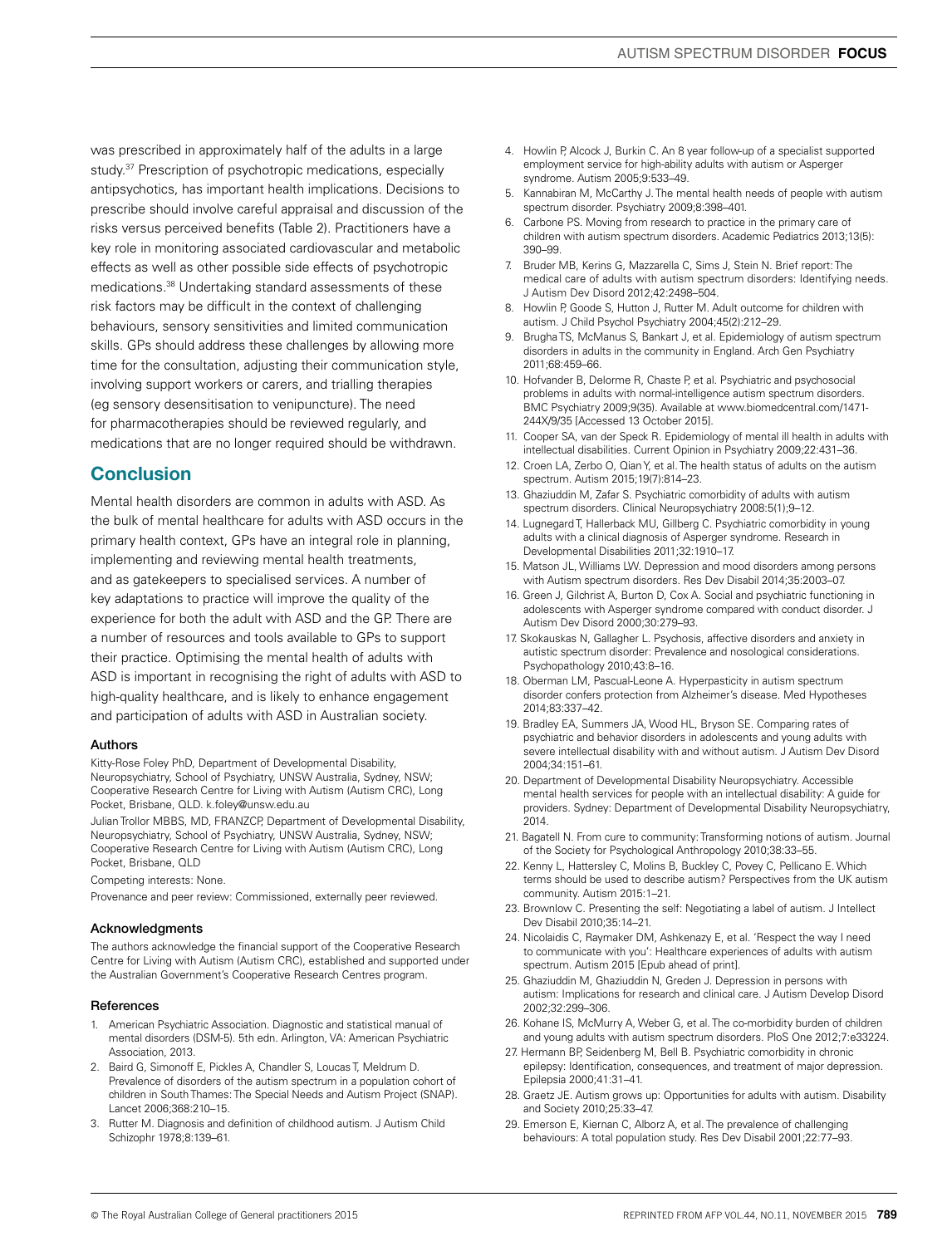was prescribed in approximately half of the adults in a large study.<sup>37</sup> Prescription of psychotropic medications, especially antipsychotics, has important health implications. Decisions to prescribe should involve careful appraisal and discussion of the risks versus perceived benefits (Table 2). Practitioners have a key role in monitoring associated cardiovascular and metabolic effects as well as other possible side effects of psychotropic medications.38 Undertaking standard assessments of these risk factors may be difficult in the context of challenging behaviours, sensory sensitivities and limited communication skills. GPs should address these challenges by allowing more time for the consultation, adjusting their communication style, involving support workers or carers, and trialling therapies (eg sensory desensitisation to venipuncture). The need for pharmacotherapies should be reviewed regularly, and medications that are no longer required should be withdrawn.

## Conclusion

Mental health disorders are common in adults with ASD. As the bulk of mental healthcare for adults with ASD occurs in the primary health context, GPs have an integral role in planning, implementing and reviewing mental health treatments, and as gatekeepers to specialised services. A number of key adaptations to practice will improve the quality of the experience for both the adult with ASD and the GP. There are a number of resources and tools available to GPs to support their practice. Optimising the mental health of adults with ASD is important in recognising the right of adults with ASD to high-quality healthcare, and is likely to enhance engagement and participation of adults with ASD in Australian society.

#### Authors

Kitty-Rose Foley PhD, Department of Developmental Disability, Neuropsychiatry, School of Psychiatry, UNSW Australia, Sydney, NSW; Cooperative Research Centre for Living with Autism (Autism CRC), Long Pocket, Brisbane, QLD. k.foley@unsw.edu.au

Julian Trollor MBBS, MD, FRANZCP, Department of Developmental Disability, Neuropsychiatry, School of Psychiatry, UNSW Australia, Sydney, NSW; Cooperative Research Centre for Living with Autism (Autism CRC), Long Pocket, Brisbane, QLD

Competing interests: None.

Provenance and peer review: Commissioned, externally peer reviewed.

#### Acknowledgments

The authors acknowledge the financial support of the Cooperative Research Centre for Living with Autism (Autism CRC), established and supported under the Australian Government's Cooperative Research Centres program.

#### **References**

- 1. American Psychiatric Association. Diagnostic and statistical manual of mental disorders (DSM-5). 5th edn. Arlington, VA: American Psychiatric Association, 2013.
- 2. Baird G, Simonoff E, Pickles A, Chandler S, Loucas T, Meldrum D. Prevalence of disorders of the autism spectrum in a population cohort of children in South Thames: The Special Needs and Autism Project (SNAP). Lancet 2006;368:210–15.
- 3. Rutter M. Diagnosis and definition of childhood autism. J Autism Child Schizophr 1978;8:139–61.
- 4. Howlin P, Alcock J, Burkin C. An 8 year follow-up of a specialist supported employment service for high-ability adults with autism or Asperger syndrome. Autism 2005;9:533–49.
- 5. Kannabiran M, McCarthy J. The mental health needs of people with autism spectrum disorder. Psychiatry 2009;8:398–401.
- 6. Carbone PS. Moving from research to practice in the primary care of children with autism spectrum disorders. Academic Pediatrics 2013;13(5): 390–99.
- 7. Bruder MB, Kerins G, Mazzarella C, Sims J, Stein N. Brief report: The medical care of adults with autism spectrum disorders: Identifying needs. J Autism Dev Disord 2012;42:2498–504.
- 8. Howlin P, Goode S, Hutton J, Rutter M. Adult outcome for children with autism. J Child Psychol Psychiatry 2004;45(2):212–29.
- 9. Brugha TS, McManus S, Bankart J, et al. Epidemiology of autism spectrum disorders in adults in the community in England. Arch Gen Psychiatry 2011;68:459–66.
- 10. Hofvander B, Delorme R, Chaste P, et al. Psychiatric and psychosocial problems in adults with normal-intelligence autism spectrum disorders. BMC Psychiatry 2009;9(35). Available at www.biomedcentral.com/1471- 244X/9/35 [Accessed 13 October 2015].
- 11. Cooper SA, van der Speck R. Epidemiology of mental ill health in adults with intellectual disabilities. Current Opinion in Psychiatry 2009;22:431–36.
- 12. Croen LA, Zerbo O, Qian Y, et al. The health status of adults on the autism spectrum. Autism 2015;19(7):814–23.
- 13. Ghaziuddin M, Zafar S. Psychiatric comorbidity of adults with autism spectrum disorders. Clinical Neuropsychiatry 2008:5(1);9–12.
- 14. Lugnegard T, Hallerback MU, Gillberg C. Psychiatric comorbidity in young adults with a clinical diagnosis of Asperger syndrome. Research in Developmental Disabilities 2011;32:1910–17.
- 15. Matson JL, Williams LW. Depression and mood disorders among persons with Autism spectrum disorders. Res Dev Disabil 2014;35:2003–07.
- 16. Green J, Gilchrist A, Burton D, Cox A. Social and psychiatric functioning in adolescents with Asperger syndrome compared with conduct disorder. J Autism Dev Disord 2000;30:279–93.
- 17. Skokauskas N, Gallagher L. Psychosis, affective disorders and anxiety in autistic spectrum disorder: Prevalence and nosological considerations. Psychopathology 2010;43:8–16.
- 18. Oberman LM, Pascual-Leone A. Hyperpasticity in autism spectrum disorder confers protection from Alzheimer's disease. Med Hypotheses 2014;83:337–42.
- 19. Bradley EA, Summers JA, Wood HL, Bryson SE. Comparing rates of psychiatric and behavior disorders in adolescents and young adults with severe intellectual disability with and without autism. J Autism Dev Disord 2004;34:151–61.
- 20. Department of Developmental Disability Neuropsychiatry. Accessible mental health services for people with an intellectual disability: A guide for providers. Sydney: Department of Developmental Disability Neuropsychiatry, 2014.
- 21. Bagatell N. From cure to community: Transforming notions of autism. Journal of the Society for Psychological Anthropology 2010;38:33–55.
- 22. Kenny L, Hattersley C, Molins B, Buckley C, Povey C, Pellicano E. Which terms should be used to describe autism? Perspectives from the UK autism community. Autism 2015:1–21.
- 23. Brownlow C. Presenting the self: Negotiating a label of autism. J Intellect Dev Disabil 2010;35:14–21.
- 24. Nicolaidis C, Raymaker DM, Ashkenazy E, et al. 'Respect the way I need to communicate with you': Healthcare experiences of adults with autism spectrum. Autism 2015 [Epub ahead of print].
- 25. Ghaziuddin M, Ghaziuddin N, Greden J. Depression in persons with autism: Implications for research and clinical care. J Autism Develop Disord 2002;32:299–306.
- 26. Kohane IS, McMurry A, Weber G, et al. The co-morbidity burden of children and young adults with autism spectrum disorders. PloS One 2012;7:e33224.
- 27. Hermann BP, Seidenberg M, Bell B. Psychiatric comorbidity in chronic epilepsy: Identification, consequences, and treatment of major depression. Epilepsia 2000;41:31–41.
- 28. Graetz JE. Autism grows up: Opportunities for adults with autism. Disability and Society 2010;25:33–47.
- 29. Emerson E, Kiernan C, Alborz A, et al. The prevalence of challenging behaviours: A total population study. Res Dev Disabil 2001;22:77–93.